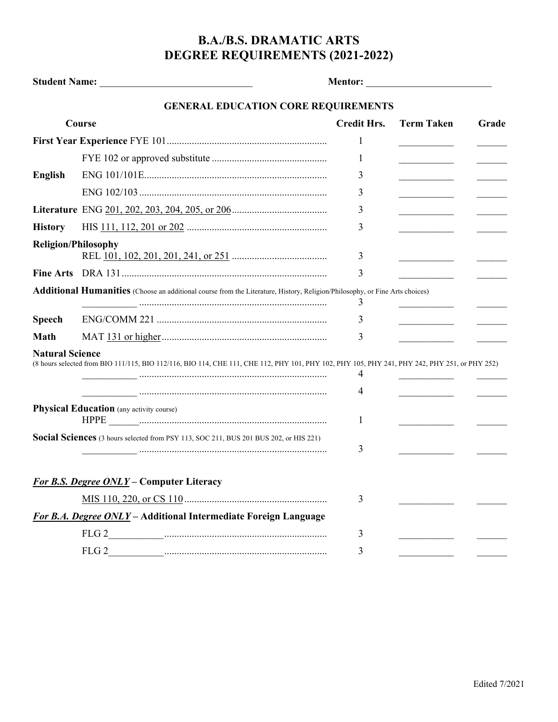## **B.A./B.S. DRAMATIC ARTS DEGREE REQUIREMENTS (2021-2022)**

|                        | <b>GENERAL EDUCATION CORE REQUIREMENTS</b>                                                                                                    |                    |                   |       |
|------------------------|-----------------------------------------------------------------------------------------------------------------------------------------------|--------------------|-------------------|-------|
|                        | Course                                                                                                                                        | <b>Credit Hrs.</b> | <b>Term Taken</b> | Grade |
|                        |                                                                                                                                               | 1                  |                   |       |
|                        |                                                                                                                                               | 1                  |                   |       |
| <b>English</b>         |                                                                                                                                               | 3                  |                   |       |
|                        |                                                                                                                                               | 3                  |                   |       |
|                        |                                                                                                                                               | 3                  |                   |       |
| <b>History</b>         |                                                                                                                                               | 3                  |                   |       |
|                        | <b>Religion/Philosophy</b>                                                                                                                    |                    |                   |       |
|                        |                                                                                                                                               | 3                  |                   |       |
|                        |                                                                                                                                               | 3                  |                   |       |
|                        | Additional Humanities (Choose an additional course from the Literature, History, Religion/Philosophy, or Fine Arts choices)                   | 3                  |                   |       |
| <b>Speech</b>          |                                                                                                                                               | 3                  |                   |       |
| Math                   |                                                                                                                                               | 3                  |                   |       |
| <b>Natural Science</b> | (8 hours selected from BIO 111/115, BIO 112/116, BIO 114, CHE 111, CHE 112, PHY 101, PHY 102, PHY 105, PHY 241, PHY 242, PHY 251, or PHY 252) | 4                  |                   |       |
|                        |                                                                                                                                               | 4                  |                   |       |
|                        | <b>Physical Education</b> (any activity course)                                                                                               | 1                  |                   |       |
|                        | Social Sciences (3 hours selected from PSY 113, SOC 211, BUS 201 BUS 202, or HIS 221)                                                         | 3                  |                   |       |
|                        | For B.S. Degree ONLY - Computer Literacy                                                                                                      |                    |                   |       |
|                        |                                                                                                                                               | 3                  |                   |       |
|                        | For B.A. Degree ONLY - Additional Intermediate Foreign Language                                                                               |                    |                   |       |
|                        |                                                                                                                                               | 3                  |                   |       |
|                        | FLG <sub>2</sub>                                                                                                                              | 3                  |                   |       |